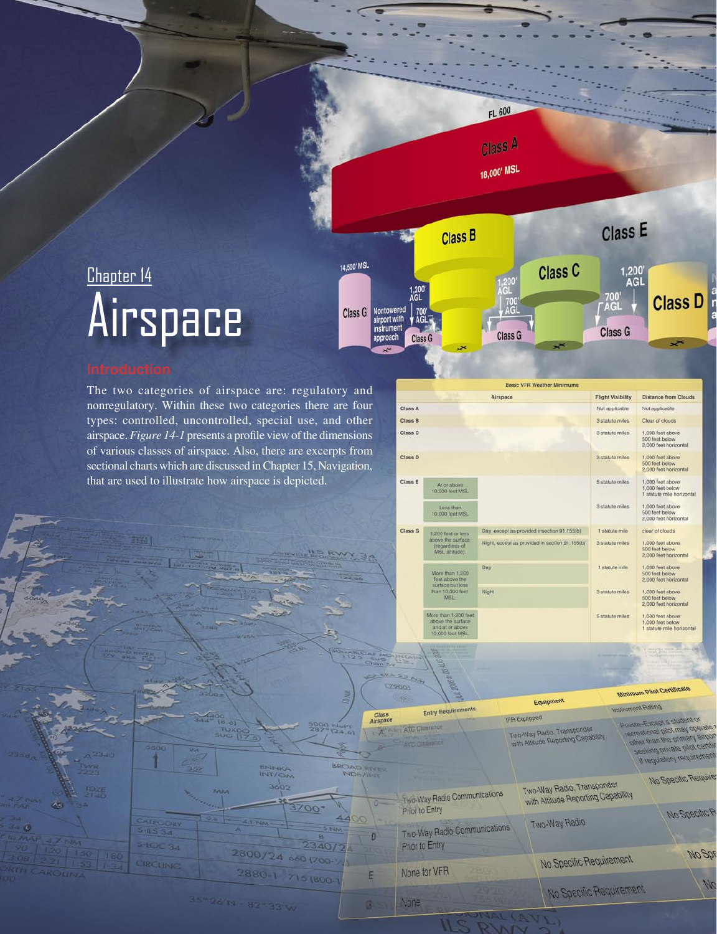# Airspace Chapter 14



**Rocie VED Woother Mit** 

The two categories of airspace are: regulat nonregulatory. Within these two categories there types: controlled, uncontrolled, special use, a airspace. Figure 14-1 presents a profile view of the di of various classes of airspace. Also, there are exce sectional charts which are discussed in Chapter 15, N that are used to illustrate how airspace is depicted.

| tory and                                         |                                                                                                         |                                                                                 | Airspace |                                                                                          | <b>Flight Visibility</b> | <b>Distance from Clouds</b>                                                                                                                                   |    |
|--------------------------------------------------|---------------------------------------------------------------------------------------------------------|---------------------------------------------------------------------------------|----------|------------------------------------------------------------------------------------------|--------------------------|---------------------------------------------------------------------------------------------------------------------------------------------------------------|----|
| are four                                         | Class A                                                                                                 |                                                                                 |          |                                                                                          | Not applicable           | Not applicable                                                                                                                                                |    |
| nd other                                         | Class B                                                                                                 |                                                                                 |          |                                                                                          | 3 statute miles          | Clear of clouds                                                                                                                                               |    |
| mensions                                         | Class C                                                                                                 |                                                                                 |          |                                                                                          | 3 statute miles          | 1,000 feet above<br>500 feet below<br>2,000 feet horizontal                                                                                                   |    |
| rpts from<br>avigation,                          | <b>Class D</b>                                                                                          |                                                                                 |          |                                                                                          | 3 statute miles          | 1,000 feet above<br>500 feet below<br>2.000 feet horizontal                                                                                                   |    |
|                                                  | Class E                                                                                                 | At or above.<br>10,000 feet MSL                                                 |          |                                                                                          | 5 statute miles          | 1,000 feet above<br>1,000 feet below<br>1 statute mile horizontal                                                                                             |    |
|                                                  |                                                                                                         | Less than<br>10,000 feet MSL                                                    |          |                                                                                          | 3 statute miles          | 1,000 feet above<br>500 feet below<br>2,000 feet horizontal                                                                                                   |    |
|                                                  | Class G                                                                                                 | 1,200 feet or less                                                              |          | Day, except as provided insection 91.155(b)                                              | 1 statute mile           | clear of clouds                                                                                                                                               |    |
|                                                  |                                                                                                         | above the surface<br>(regardless of<br>MSL altitude).                           |          | Night, eccept as provided in section 91.155(b).                                          | 3 statute miles          | 1,000 feet above<br>500 feet below<br>2,000 feet horizontal                                                                                                   |    |
|                                                  |                                                                                                         | More than 1:200<br>feet above the                                               | Day      |                                                                                          | 1 statute mile           | 1,000 feet above<br>500 feet below<br>2,000 feet horizontal                                                                                                   |    |
|                                                  |                                                                                                         | surface but less<br>than 10,000 feet<br>MSL                                     | Night    |                                                                                          | 3 statute miles          | 1,000 feet above<br>500 feet below<br>2,000 feet horizontal                                                                                                   |    |
|                                                  |                                                                                                         | More than 1,200 feet<br>above the surface<br>and at or above<br>10,000 feet MSL |          |                                                                                          | 5 statute miles          | 1,000 feet above<br>1.000 feet below<br>1 statute mile horizontal                                                                                             |    |
| PROGRAMONE MOUTHLAND<br>Chan by                  | SKA 23 NA<br>79001                                                                                      |                                                                                 |          |                                                                                          |                          |                                                                                                                                                               |    |
| <b>Septe</b>                                     |                                                                                                         |                                                                                 |          | Equipment                                                                                |                          | Minimum Pilot Certificate                                                                                                                                     |    |
| Class                                            |                                                                                                         | <b>Entry Requirements</b>                                                       |          |                                                                                          |                          | Instrument Rating                                                                                                                                             |    |
| Airspace<br>Nort<br>(24.6)<br><b>BROAD RIVER</b> | A <sup>LL</sup> ALL LATC Clearance<br><b>ATC DIRECTOR</b>                                               |                                                                                 |          | <b>IFR Equipped</b><br>Two-Way Radio, Transponder<br>with Attitude Reporting Capability  |                          | Private-Except a student or<br>tecreational pilot may operate a<br>other than the primary airport<br>seeking private plot centil<br>Il regulatory requirement |    |
| NDB/INT                                          | <b>Two-Way Radio Communications</b><br>Prior to Entry<br>Two-Way Radio Communications<br>Prior to Entry |                                                                                 |          | No Specific Requirer<br>Two-Way Radio, Transponder<br>with Altitude Reporting Capability |                          |                                                                                                                                                               |    |
| 4400                                             |                                                                                                         |                                                                                 |          | No Specific R                                                                            |                          |                                                                                                                                                               |    |
| <b>MAT</b><br>Ð                                  |                                                                                                         |                                                                                 |          | <b>Two-Way Radio</b>                                                                     |                          |                                                                                                                                                               |    |
|                                                  |                                                                                                         |                                                                                 |          | No Specific Requirement                                                                  |                          | <b>NO Spe</b>                                                                                                                                                 |    |
| E<br>$\overline{3}$ $\overline{1}$               |                                                                                                         | None for VFR                                                                    |          |                                                                                          | No Specific Requirement  |                                                                                                                                                               | Wo |

2800/24

 $2880 - 1$ 

 $71518$ 

 $S-LOC-34$ 

**IRCLING**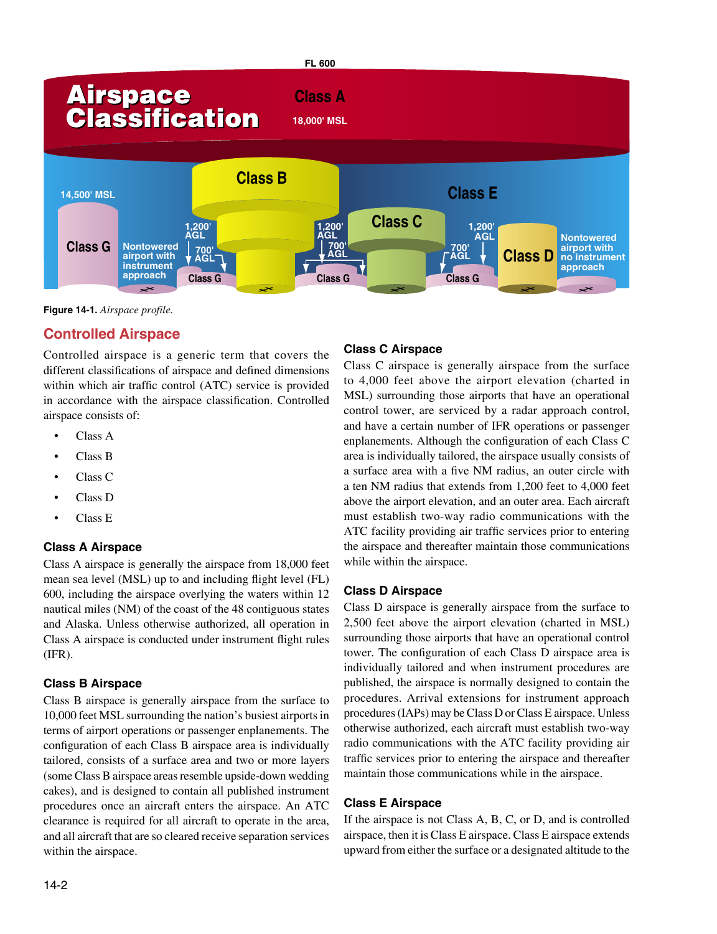

**Figure 14-1.** *Airspace profile.*

# **Controlled Airspace**

Controlled airspace is a generic term that covers the different classifications of airspace and defined dimensions within which air traffic control (ATC) service is provided in accordance with the airspace classification. Controlled airspace consists of:

- Class A
- Class B
- Class C
- Class D
- Class E

#### **Class A Airspace**

Class A airspace is generally the airspace from 18,000 feet mean sea level (MSL) up to and including flight level (FL) 600, including the airspace overlying the waters within 12 nautical miles (NM) of the coast of the 48 contiguous states and Alaska. Unless otherwise authorized, all operation in Class A airspace is conducted under instrument flight rules (IFR).

#### **Class B Airspace**

Class B airspace is generally airspace from the surface to 10,000 feet MSL surrounding the nation's busiest airports in terms of airport operations or passenger enplanements. The configuration of each Class B airspace area is individually tailored, consists of a surface area and two or more layers (some Class B airspace areas resemble upside-down wedding cakes), and is designed to contain all published instrument procedures once an aircraft enters the airspace. An ATC clearance is required for all aircraft to operate in the area, and all aircraft that are so cleared receive separation services within the airspace.

#### **Class C Airspace**

Class C airspace is generally airspace from the surface to 4,000 feet above the airport elevation (charted in MSL) surrounding those airports that have an operational control tower, are serviced by a radar approach control, and have a certain number of IFR operations or passenger enplanements. Although the configuration of each Class C area is individually tailored, the airspace usually consists of a surface area with a five NM radius, an outer circle with a ten NM radius that extends from 1,200 feet to 4,000 feet above the airport elevation, and an outer area. Each aircraft must establish two-way radio communications with the ATC facility providing air traffic services prior to entering the airspace and thereafter maintain those communications while within the airspace.

#### **Class D Airspace**

Class D airspace is generally airspace from the surface to 2,500 feet above the airport elevation (charted in MSL) surrounding those airports that have an operational control tower. The configuration of each Class D airspace area is individually tailored and when instrument procedures are published, the airspace is normally designed to contain the procedures. Arrival extensions for instrument approach procedures (IAPs) may be Class D or Class E airspace. Unless otherwise authorized, each aircraft must establish two-way radio communications with the ATC facility providing air traffic services prior to entering the airspace and thereafter maintain those communications while in the airspace.

#### **Class E Airspace**

If the airspace is not Class A, B, C, or D, and is controlled airspace, then it is Class E airspace. Class E airspace extends upward from either the surface or a designated altitude to the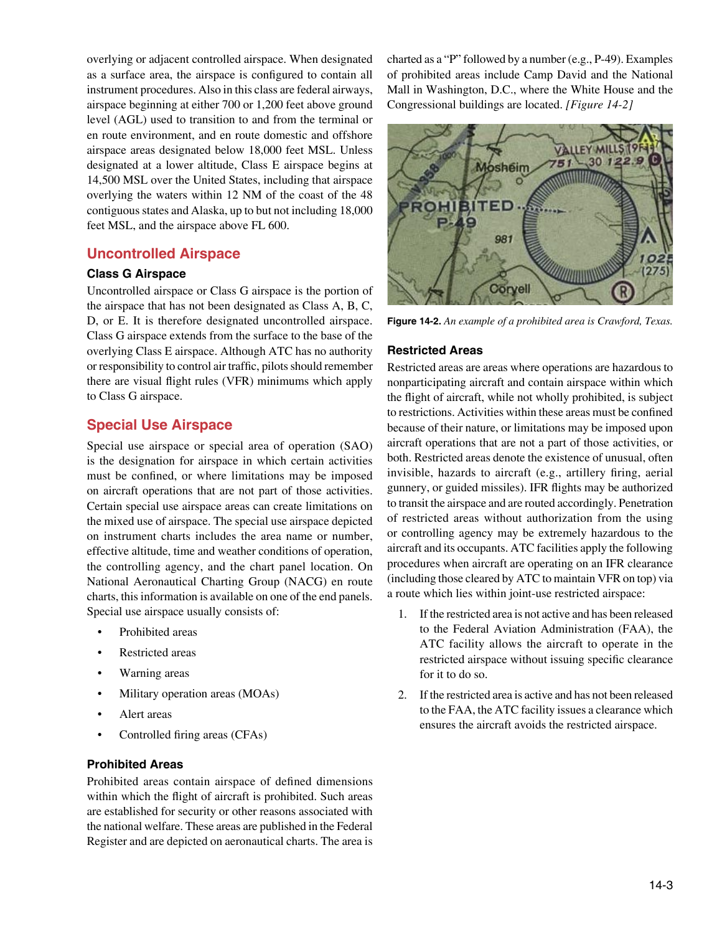overlying or adjacent controlled airspace. When designated as a surface area, the airspace is configured to contain all instrument procedures. Also in this class are federal airways, airspace beginning at either 700 or 1,200 feet above ground level (AGL) used to transition to and from the terminal or en route environment, and en route domestic and offshore airspace areas designated below 18,000 feet MSL. Unless designated at a lower altitude, Class E airspace begins at 14,500 MSL over the United States, including that airspace overlying the waters within 12 NM of the coast of the 48 contiguous states and Alaska, up to but not including 18,000 feet MSL, and the airspace above FL 600.

# **Uncontrolled Airspace**

#### **Class G Airspace**

Uncontrolled airspace or Class G airspace is the portion of the airspace that has not been designated as Class A, B, C, D, or E. It is therefore designated uncontrolled airspace. Class G airspace extends from the surface to the base of the overlying Class E airspace. Although ATC has no authority or responsibility to control air traffic, pilots should remember there are visual flight rules (VFR) minimums which apply to Class G airspace.

### **Special Use Airspace**

Special use airspace or special area of operation (SAO) is the designation for airspace in which certain activities must be confined, or where limitations may be imposed on aircraft operations that are not part of those activities. Certain special use airspace areas can create limitations on the mixed use of airspace. The special use airspace depicted on instrument charts includes the area name or number, effective altitude, time and weather conditions of operation, the controlling agency, and the chart panel location. On National Aeronautical Charting Group (NACG) en route charts, this information is available on one of the end panels. Special use airspace usually consists of:

- Prohibited areas
- Restricted areas
- Warning areas
- Military operation areas (MOAs)
- Alert areas
- Controlled firing areas (CFAs)

#### **Prohibited Areas**

Prohibited areas contain airspace of defined dimensions within which the flight of aircraft is prohibited. Such areas are established for security or other reasons associated with the national welfare. These areas are published in the Federal Register and are depicted on aeronautical charts. The area is charted as a "P" followed by a number (e.g., P-49). Examples of prohibited areas include Camp David and the National Mall in Washington, D.C., where the White House and the Congressional buildings are located. *[Figure 14-2]*



**Figure 14-2.** *An example of a prohibited area is Crawford, Texas.*

#### **Restricted Areas**

Restricted areas are areas where operations are hazardous to nonparticipating aircraft and contain airspace within which the flight of aircraft, while not wholly prohibited, is subject to restrictions. Activities within these areas must be confined because of their nature, or limitations may be imposed upon aircraft operations that are not a part of those activities, or both. Restricted areas denote the existence of unusual, often invisible, hazards to aircraft (e.g., artillery firing, aerial gunnery, or guided missiles). IFR flights may be authorized to transit the airspace and are routed accordingly. Penetration of restricted areas without authorization from the using or controlling agency may be extremely hazardous to the aircraft and its occupants. ATC facilities apply the following procedures when aircraft are operating on an IFR clearance (including those cleared by ATC to maintain VFR on top) via a route which lies within joint-use restricted airspace:

- 1. If the restricted area is not active and has been released to the Federal Aviation Administration (FAA), the ATC facility allows the aircraft to operate in the restricted airspace without issuing specific clearance for it to do so.
- 2. If the restricted area is active and has not been released to the FAA, the ATC facility issues a clearance which ensures the aircraft avoids the restricted airspace.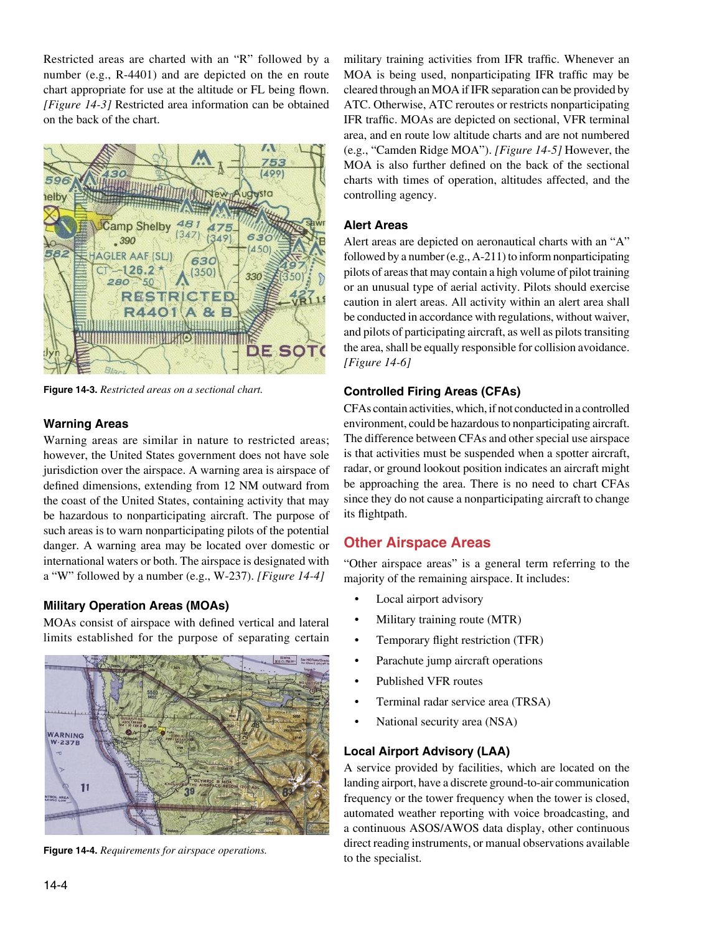Restricted areas are charted with an "R" followed by a number (e.g., R-4401) and are depicted on the en route chart appropriate for use at the altitude or FL being flown. *[Figure 14-3]* Restricted area information can be obtained on the back of the chart.



**Figure 14-3.** *Restricted areas on a sectional chart.*

#### **Warning Areas**

Warning areas are similar in nature to restricted areas; however, the United States government does not have sole jurisdiction over the airspace. A warning area is airspace of defined dimensions, extending from 12 NM outward from the coast of the United States, containing activity that may be hazardous to nonparticipating aircraft. The purpose of such areas is to warn nonparticipating pilots of the potential danger. A warning area may be located over domestic or international waters or both. The airspace is designated with a "W" followed by a number (e.g., W-237). *[Figure 14-4]*

#### **Military Operation Areas (MOAs)**

MOAs consist of airspace with defined vertical and lateral limits established for the purpose of separating certain



**Figure 14-4.** *Requirements for airspace operations.*

military training activities from IFR traffic. Whenever an MOA is being used, nonparticipating IFR traffic may be cleared through an MOA if IFR separation can be provided by ATC. Otherwise, ATC reroutes or restricts nonparticipating IFR traffic. MOAs are depicted on sectional, VFR terminal area, and en route low altitude charts and are not numbered (e.g., "Camden Ridge MOA"). *[Figure 14-5]* However, the MOA is also further defined on the back of the sectional charts with times of operation, altitudes affected, and the controlling agency.

#### **Alert Areas**

Alert areas are depicted on aeronautical charts with an "A" followed by a number (e.g., A-211) to inform nonparticipating pilots of areas that may contain a high volume of pilot training or an unusual type of aerial activity. Pilots should exercise caution in alert areas. All activity within an alert area shall be conducted in accordance with regulations, without waiver, and pilots of participating aircraft, as well as pilots transiting the area, shall be equally responsible for collision avoidance. *[Figure 14-6]*

#### **Controlled Firing Areas (CFAs)**

CFAs contain activities, which, if not conducted in a controlled environment, could be hazardous to nonparticipating aircraft. The difference between CFAs and other special use airspace is that activities must be suspended when a spotter aircraft, radar, or ground lookout position indicates an aircraft might be approaching the area. There is no need to chart CFAs since they do not cause a nonparticipating aircraft to change its flightpath.

# **Other Airspace Areas**

"Other airspace areas" is a general term referring to the majority of the remaining airspace. It includes:

- Local airport advisory
- Military training route (MTR)
- Temporary flight restriction (TFR)
- Parachute jump aircraft operations
- Published VFR routes
- Terminal radar service area (TRSA)
- National security area (NSA)

#### **Local Airport Advisory (LAA)**

A service provided by facilities, which are located on the landing airport, have a discrete ground-to-air communication frequency or the tower frequency when the tower is closed, automated weather reporting with voice broadcasting, and a continuous ASOS/AWOS data display, other continuous direct reading instruments, or manual observations available to the specialist.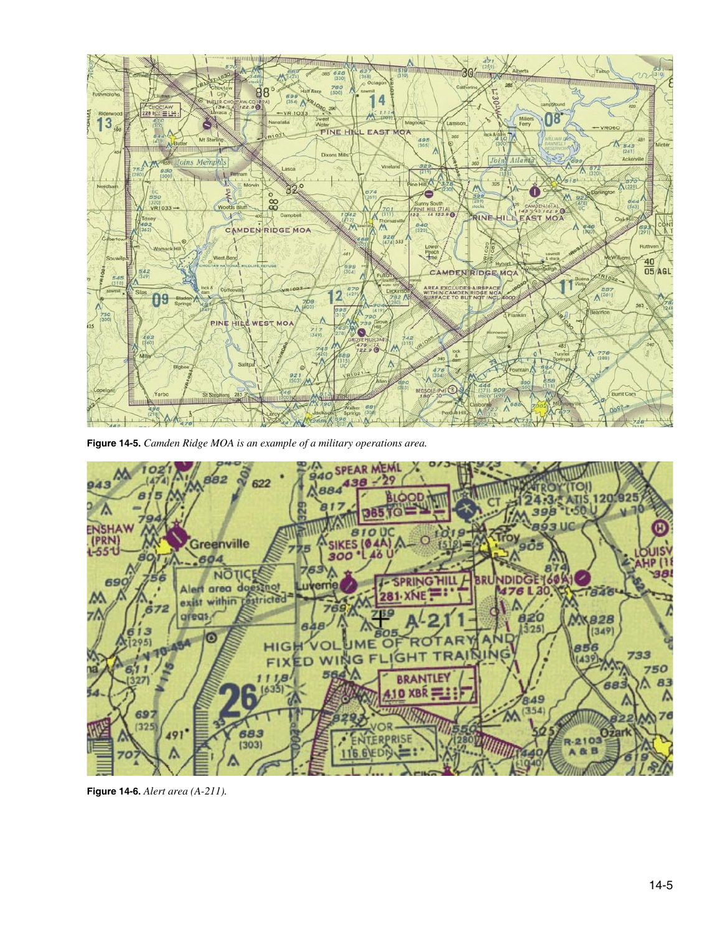

**Figure 14-5.** *Camden Ridge MOA is an example of a military operations area.*



**Figure 14-6.** *Alert area (A-211).*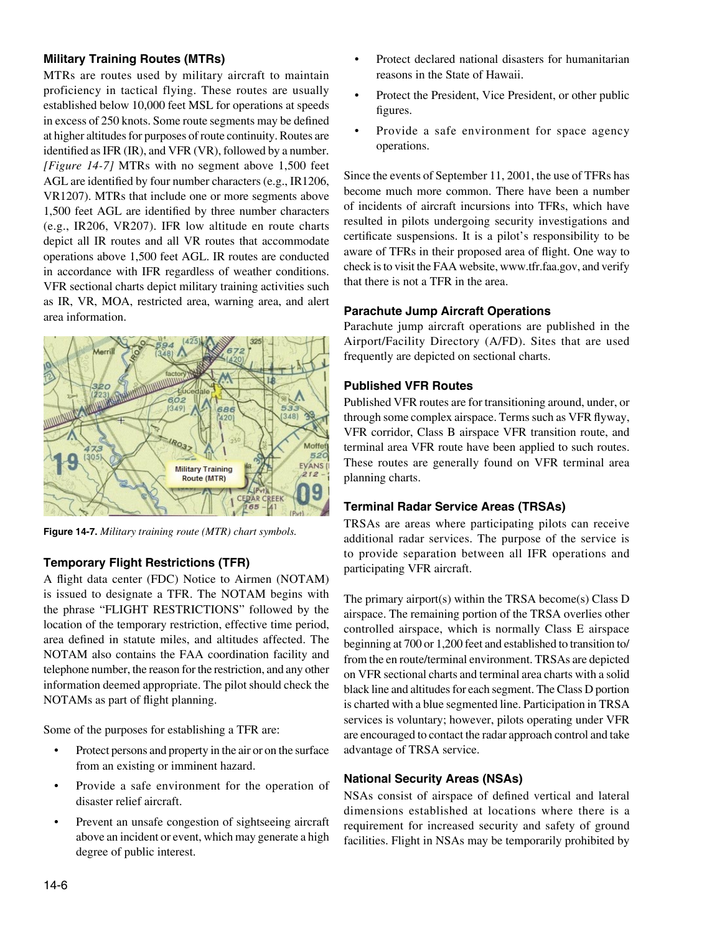### **Military Training Routes (MTRs)**

MTRs are routes used by military aircraft to maintain proficiency in tactical flying. These routes are usually established below 10,000 feet MSL for operations at speeds in excess of 250 knots. Some route segments may be defined at higher altitudes for purposes of route continuity. Routes are identified as IFR (IR), and VFR (VR), followed by a number. *[Figure 14-7]* MTRs with no segment above 1,500 feet AGL are identified by four number characters (e.g., IR1206, VR1207). MTRs that include one or more segments above 1,500 feet AGL are identified by three number characters (e.g., IR206, VR207). IFR low altitude en route charts depict all IR routes and all VR routes that accommodate operations above 1,500 feet AGL. IR routes are conducted in accordance with IFR regardless of weather conditions. VFR sectional charts depict military training activities such as IR, VR, MOA, restricted area, warning area, and alert area information.



**Figure 14-7.** *Military training route (MTR) chart symbols.*

#### **Temporary Flight Restrictions (TFR)**

A flight data center (FDC) Notice to Airmen (NOTAM) is issued to designate a TFR. The NOTAM begins with the phrase "FLIGHT RESTRICTIONS" followed by the location of the temporary restriction, effective time period, area defined in statute miles, and altitudes affected. The NOTAM also contains the FAA coordination facility and telephone number, the reason for the restriction, and any other information deemed appropriate. The pilot should check the NOTAMs as part of flight planning.

Some of the purposes for establishing a TFR are:

- Protect persons and property in the air or on the surface from an existing or imminent hazard.
- Provide a safe environment for the operation of disaster relief aircraft.
- Prevent an unsafe congestion of sightseeing aircraft above an incident or event, which may generate a high degree of public interest.
- Protect declared national disasters for humanitarian reasons in the State of Hawaii.
- Protect the President, Vice President, or other public figures.
- Provide a safe environment for space agency operations.

Since the events of September 11, 2001, the use of TFRs has become much more common. There have been a number of incidents of aircraft incursions into TFRs, which have resulted in pilots undergoing security investigations and certificate suspensions. It is a pilot's responsibility to be aware of TFRs in their proposed area of flight. One way to check is to visit the FAA website, www.tfr.faa.gov, and verify that there is not a TFR in the area.

#### **Parachute Jump Aircraft Operations**

Parachute jump aircraft operations are published in the Airport/Facility Directory (A/FD). Sites that are used frequently are depicted on sectional charts.

#### **Published VFR Routes**

Published VFR routes are for transitioning around, under, or through some complex airspace. Terms such as VFR flyway, VFR corridor, Class B airspace VFR transition route, and terminal area VFR route have been applied to such routes. These routes are generally found on VFR terminal area planning charts.

#### **Terminal Radar Service Areas (TRSAs)**

TRSAs are areas where participating pilots can receive additional radar services. The purpose of the service is to provide separation between all IFR operations and participating VFR aircraft.

The primary airport(s) within the TRSA become(s) Class D airspace. The remaining portion of the TRSA overlies other controlled airspace, which is normally Class E airspace beginning at 700 or 1,200 feet and established to transition to/ from the en route/terminal environment. TRSAs are depicted on VFR sectional charts and terminal area charts with a solid black line and altitudes for each segment. The Class D portion is charted with a blue segmented line. Participation in TRSA services is voluntary; however, pilots operating under VFR are encouraged to contact the radar approach control and take advantage of TRSA service.

#### **National Security Areas (NSAs)**

NSAs consist of airspace of defined vertical and lateral dimensions established at locations where there is a requirement for increased security and safety of ground facilities. Flight in NSAs may be temporarily prohibited by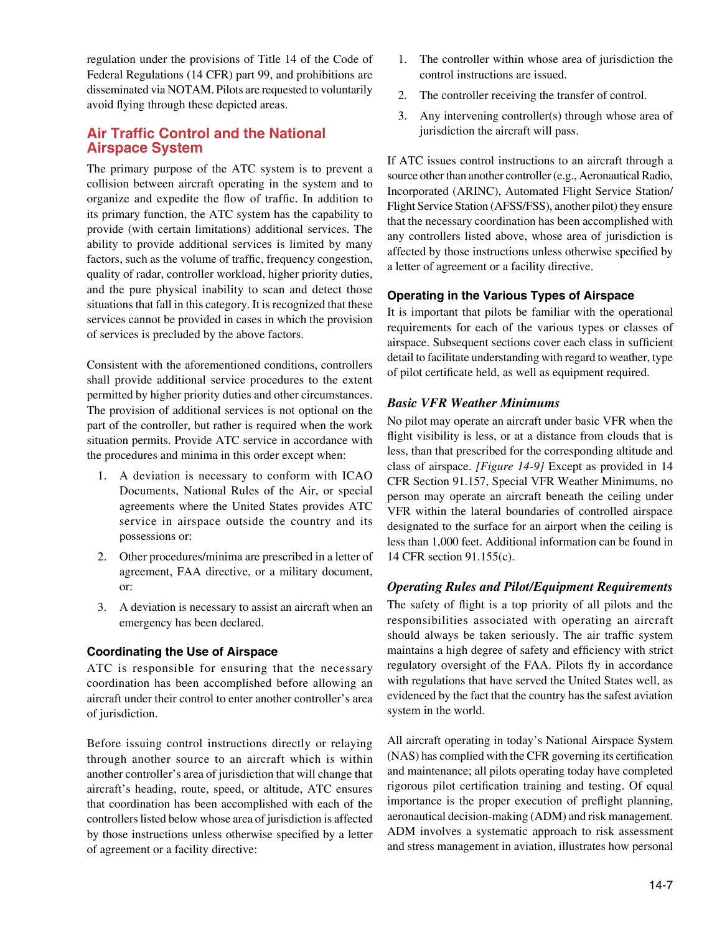regulation under the provisions of Title 14 of the Code of Federal Regulations (14 CFR) part 99, and prohibitions are disseminated via NOTAM. Pilots are requested to voluntarily avoid flying through these depicted areas.

# **Air Traffic Control and the National Airspace System**

The primary purpose of the ATC system is to prevent a collision between aircraft operating in the system and to organize and expedite the flow of traffic. In addition to its primary function, the ATC system has the capability to provide (with certain limitations) additional services. The ability to provide additional services is limited by many factors, such as the volume of traffic, frequency congestion, quality of radar, controller workload, higher priority duties, and the pure physical inability to scan and detect those situations that fall in this category. It is recognized that these services cannot be provided in cases in which the provision of services is precluded by the above factors.

Consistent with the aforementioned conditions, controllers shall provide additional service procedures to the extent permitted by higher priority duties and other circumstances. The provision of additional services is not optional on the part of the controller, but rather is required when the work situation permits. Provide ATC service in accordance with the procedures and minima in this order except when:

- 1. A deviation is necessary to conform with ICAO Documents, National Rules of the Air, or special agreements where the United States provides ATC service in airspace outside the country and its possessions or:
- 2. Other procedures/minima are prescribed in a letter of agreement, FAA directive, or a military document, or:
- 3. A deviation is necessary to assist an aircraft when an emergency has been declared.

#### **Coordinating the Use of Airspace**

ATC is responsible for ensuring that the necessary coordination has been accomplished before allowing an aircraft under their control to enter another controller's area of jurisdiction.

Before issuing control instructions directly or relaying through another source to an aircraft which is within another controller's area of jurisdiction that will change that aircraft's heading, route, speed, or altitude, ATC ensures that coordination has been accomplished with each of the controllers listed below whose area of jurisdiction is affected by those instructions unless otherwise specified by a letter of agreement or a facility directive:

- 1. The controller within whose area of jurisdiction the control instructions are issued.
- 2. The controller receiving the transfer of control.
- 3. Any intervening controller(s) through whose area of jurisdiction the aircraft will pass.

If ATC issues control instructions to an aircraft through a source other than another controller (e.g., Aeronautical Radio, Incorporated (ARINC), Automated Flight Service Station/ Flight Service Station (AFSS/FSS), another pilot) they ensure that the necessary coordination has been accomplished with any controllers listed above, whose area of jurisdiction is affected by those instructions unless otherwise specified by a letter of agreement or a facility directive.

#### **Operating in the Various Types of Airspace**

It is important that pilots be familiar with the operational requirements for each of the various types or classes of airspace. Subsequent sections cover each class in sufficient detail to facilitate understanding with regard to weather, type of pilot certificate held, as well as equipment required.

#### *Basic VFR Weather Minimums*

No pilot may operate an aircraft under basic VFR when the flight visibility is less, or at a distance from clouds that is less, than that prescribed for the corresponding altitude and class of airspace. *[Figure 14-9]* Except as provided in 14 CFR Section 91.157, Special VFR Weather Minimums, no person may operate an aircraft beneath the ceiling under VFR within the lateral boundaries of controlled airspace designated to the surface for an airport when the ceiling is less than 1,000 feet. Additional information can be found in 14 CFR section 91.155(c).

#### *Operating Rules and Pilot/Equipment Requirements*

The safety of flight is a top priority of all pilots and the responsibilities associated with operating an aircraft should always be taken seriously. The air traffic system maintains a high degree of safety and efficiency with strict regulatory oversight of the FAA. Pilots fly in accordance with regulations that have served the United States well, as evidenced by the fact that the country has the safest aviation system in the world.

All aircraft operating in today's National Airspace System (NAS) has complied with the CFR governing its certification and maintenance; all pilots operating today have completed rigorous pilot certification training and testing. Of equal importance is the proper execution of preflight planning, aeronautical decision-making (ADM) and risk management. ADM involves a systematic approach to risk assessment and stress management in aviation, illustrates how personal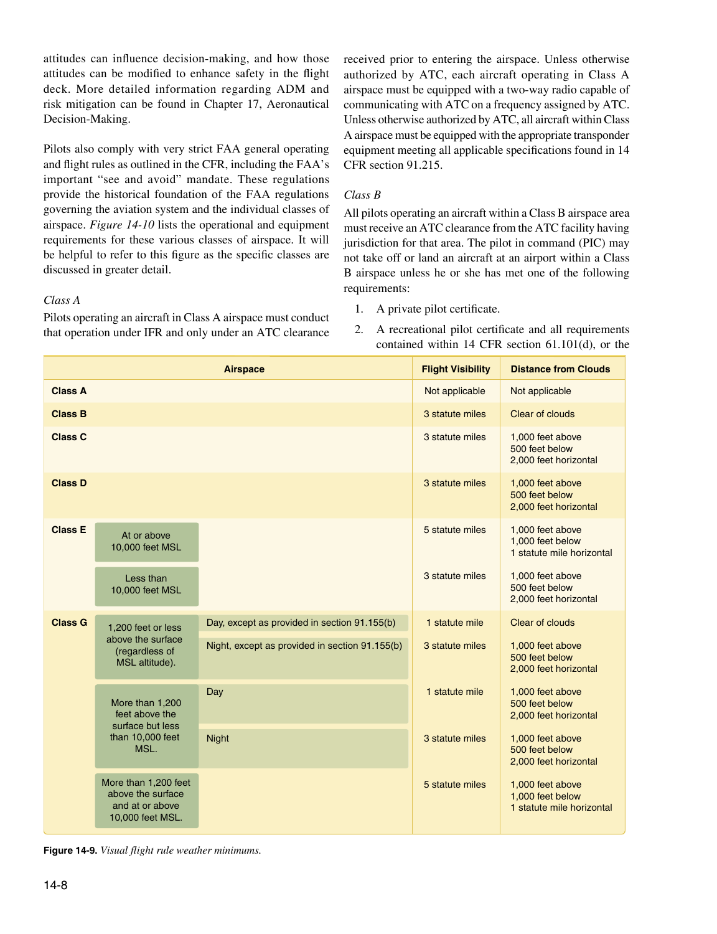attitudes can influence decision-making, and how those attitudes can be modified to enhance safety in the flight deck. More detailed information regarding ADM and risk mitigation can be found in Chapter 17, Aeronautical Decision-Making.

Pilots also comply with very strict FAA general operating and flight rules as outlined in the CFR, including the FAA's important "see and avoid" mandate. These regulations provide the historical foundation of the FAA regulations governing the aviation system and the individual classes of airspace. *Figure 14-10* lists the operational and equipment requirements for these various classes of airspace. It will be helpful to refer to this figure as the specific classes are discussed in greater detail.

#### *Class A*

Pilots operating an aircraft in Class A airspace must conduct that operation under IFR and only under an ATC clearance

received prior to entering the airspace. Unless otherwise authorized by ATC, each aircraft operating in Class A airspace must be equipped with a two-way radio capable of communicating with ATC on a frequency assigned by ATC. Unless otherwise authorized by ATC, all aircraft within Class A airspace must be equipped with the appropriate transponder equipment meeting all applicable specifications found in 14 CFR section 91.215.

#### *Class B*

All pilots operating an aircraft within a Class B airspace area must receive an ATC clearance from the ATC facility having jurisdiction for that area. The pilot in command (PIC) may not take off or land an aircraft at an airport within a Class B airspace unless he or she has met one of the following requirements:

- 1. A private pilot certificate.
- **Basic View Weather Minimums** COI 2. A recreational pilot certificate and all requirements contained within 14 CFR section 61.101(d), or the

|                |                                                                                  | <b>Flight Visibility</b>                     | <b>Distance from Clouds</b>                    |                                                                   |                                                             |
|----------------|----------------------------------------------------------------------------------|----------------------------------------------|------------------------------------------------|-------------------------------------------------------------------|-------------------------------------------------------------|
| <b>Class A</b> |                                                                                  |                                              | Not applicable                                 | Not applicable                                                    |                                                             |
| <b>Class B</b> |                                                                                  |                                              | 3 statute miles                                | <b>Clear of clouds</b>                                            |                                                             |
| <b>Class C</b> |                                                                                  |                                              | 3 statute miles                                | 1,000 feet above<br>500 feet below<br>2,000 feet horizontal       |                                                             |
| <b>Class D</b> |                                                                                  |                                              | 3 statute miles                                | 1,000 feet above<br>500 feet below<br>2,000 feet horizontal       |                                                             |
| <b>Class E</b> | At or above<br>10,000 feet MSL                                                   |                                              | 5 statute miles                                | 1,000 feet above<br>1,000 feet below<br>1 statute mile horizontal |                                                             |
|                | Less than<br>10,000 feet MSL                                                     |                                              | 3 statute miles                                | 1.000 feet above<br>500 feet below<br>2,000 feet horizontal       |                                                             |
| <b>Class G</b> | 1,200 feet or less<br>above the surface<br>(regardless of<br>MSL altitude).      | Day, except as provided in section 91.155(b) | 1 statute mile                                 | <b>Clear of clouds</b>                                            |                                                             |
|                |                                                                                  |                                              | Night, except as provided in section 91.155(b) | 3 statute miles                                                   | 1,000 feet above<br>500 feet below<br>2,000 feet horizontal |
|                | More than 1,200<br>feet above the<br>surface but less                            | Day                                          | 1 statute mile                                 | 1,000 feet above<br>500 feet below<br>2,000 feet horizontal       |                                                             |
|                | than 10,000 feet<br>MSL.                                                         | <b>Night</b>                                 | 3 statute miles                                | 1.000 feet above<br>500 feet below<br>2,000 feet horizontal       |                                                             |
|                | More than 1,200 feet<br>above the surface<br>and at or above<br>10,000 feet MSL. |                                              | 5 statute miles                                | 1,000 feet above<br>1,000 feet below<br>1 statute mile horizontal |                                                             |

**Figure 14-9.** *Visual flight rule weather minimums.*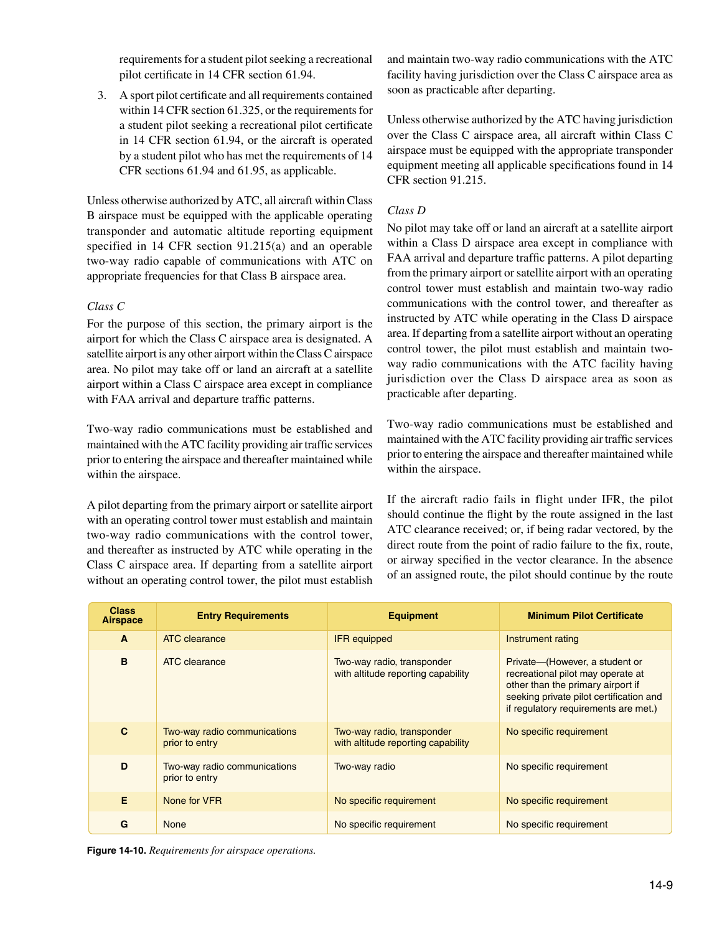requirements for a student pilot seeking a recreational pilot certificate in 14 CFR section 61.94.

3. A sport pilot certificate and all requirements contained within 14 CFR section 61.325, or the requirements for a student pilot seeking a recreational pilot certificate in 14 CFR section 61.94, or the aircraft is operated by a student pilot who has met the requirements of 14 CFR sections 61.94 and 61.95, as applicable.

Unless otherwise authorized by ATC, all aircraft within Class B airspace must be equipped with the applicable operating transponder and automatic altitude reporting equipment specified in 14 CFR section 91.215(a) and an operable two-way radio capable of communications with ATC on appropriate frequencies for that Class B airspace area.

#### *Class C*

For the purpose of this section, the primary airport is the airport for which the Class C airspace area is designated. A satellite airport is any other airport within the Class C airspace area. No pilot may take off or land an aircraft at a satellite airport within a Class C airspace area except in compliance with FAA arrival and departure traffic patterns.

Two-way radio communications must be established and maintained with the ATC facility providing air traffic services prior to entering the airspace and thereafter maintained while within the airspace.

A pilot departing from the primary airport or satellite airport with an operating control tower must establish and maintain two-way radio communications with the control tower, and thereafter as instructed by ATC while operating in the Class C airspace area. If departing from a satellite airport without an operating control tower, the pilot must establish

and maintain two-way radio communications with the ATC facility having jurisdiction over the Class C airspace area as soon as practicable after departing.

Unless otherwise authorized by the ATC having jurisdiction over the Class C airspace area, all aircraft within Class C airspace must be equipped with the appropriate transponder equipment meeting all applicable specifications found in 14 CFR section 91.215.

### *Class D*

No pilot may take off or land an aircraft at a satellite airport within a Class D airspace area except in compliance with FAA arrival and departure traffic patterns. A pilot departing from the primary airport or satellite airport with an operating control tower must establish and maintain two-way radio communications with the control tower, and thereafter as instructed by ATC while operating in the Class D airspace area. If departing from a satellite airport without an operating control tower, the pilot must establish and maintain twoway radio communications with the ATC facility having jurisdiction over the Class D airspace area as soon as practicable after departing.

Two-way radio communications must be established and maintained with the ATC facility providing air traffic services prior to entering the airspace and thereafter maintained while within the airspace.

If the aircraft radio fails in flight under IFR, the pilot should continue the flight by the route assigned in the last ATC clearance received; or, if being radar vectored, by the direct route from the point of radio failure to the fix, route, or airway specified in the vector clearance. In the absence of an assigned route, the pilot should continue by the route

| <b>Class</b><br><b>Airspace</b> | <b>Entry Requirements</b>                      | <b>Equipment</b>                                                 | <b>Minimum Pilot Certificate</b>                                                                                                                                                            |  |
|---------------------------------|------------------------------------------------|------------------------------------------------------------------|---------------------------------------------------------------------------------------------------------------------------------------------------------------------------------------------|--|
| $\mathbf{A}$                    | <b>ATC</b> clearance                           | <b>IFR</b> equipped                                              | Instrument rating                                                                                                                                                                           |  |
| B                               | ATC clearance                                  | Two-way radio, transponder<br>with altitude reporting capability | Private-(However, a student or<br>recreational pilot may operate at<br>other than the primary airport if<br>seeking private pilot certification and<br>if regulatory requirements are met.) |  |
| $\mathbf{C}$                    | Two-way radio communications<br>prior to entry | Two-way radio, transponder<br>with altitude reporting capability | No specific requirement                                                                                                                                                                     |  |
| D                               | Two-way radio communications<br>prior to entry | Two-way radio                                                    | No specific requirement                                                                                                                                                                     |  |
| E.                              | None for VFR                                   | No specific requirement                                          | No specific requirement                                                                                                                                                                     |  |
| G                               | None                                           | No specific requirement                                          | No specific requirement                                                                                                                                                                     |  |

**Figure 14-10.** *Requirements for airspace operations.*